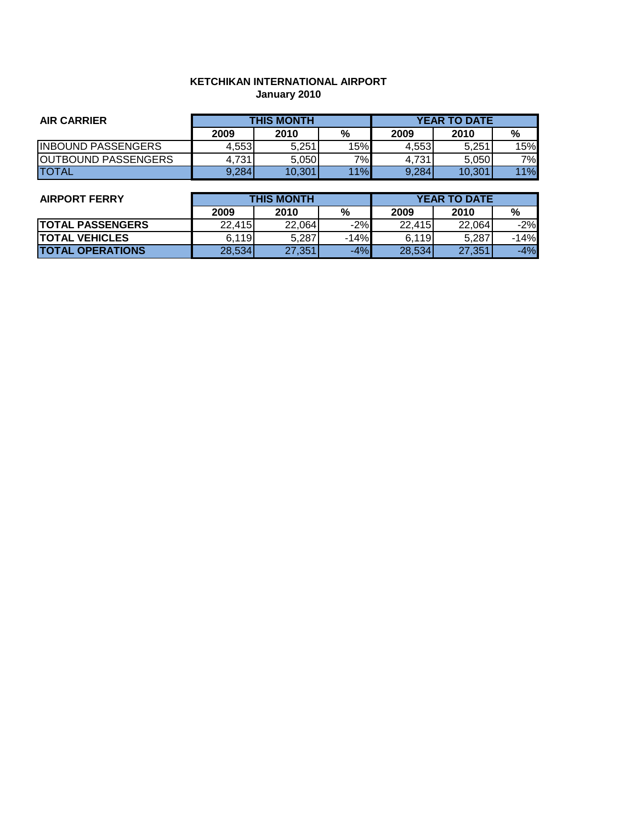# **KETCHIKAN INTERNATIONAL AIRPORT January 2010**

| <b>AIR CARRIER</b>         | <b>THIS MONTH</b> |        |     | <b>YEAR TO DATE</b> |        |     |
|----------------------------|-------------------|--------|-----|---------------------|--------|-----|
|                            | 2009              | 2010   | %   | 2009                | 2010   | %   |
| <b>IINBOUND PASSENGERS</b> | 4,553             | 5.251  | 15% | 4.553               | 5.251  | 15% |
| <b>OUTBOUND PASSENGERS</b> | 4.731             | 5.050  | 7%  | 4.731               | 5.050  | 7%I |
| <b>TOTAL</b>               | 9,284             | 10,301 | 11% | 9,284               | 10,301 | 11% |

| <b>AIRPORT FERRY</b>    | <b>THIS MONTH</b> |        |        | <b>YEAR TO DATE</b> |        |        |
|-------------------------|-------------------|--------|--------|---------------------|--------|--------|
|                         | 2009              | 2010   | %      | 2009                | 2010   | %      |
| <b>TOTAL PASSENGERS</b> | 22,415            | 22,064 | $-2%$  | 22,415              | 22,064 | $-2%$  |
| <b>TOTAL VEHICLES</b>   | 6,119             | 5,287  | $-14%$ | 6,119               | 5,287  | $-14%$ |
| <b>TOTAL OPERATIONS</b> | 28,534            | 27,351 | $-4%$  | 28,534              | 27,351 | $-4%$  |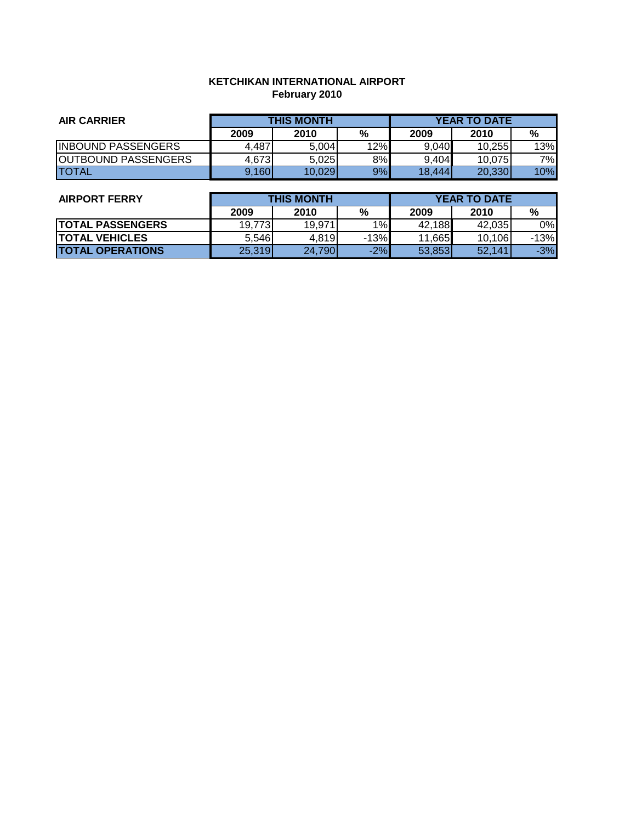# **KETCHIKAN INTERNATIONAL AIRPORT February 2010**

| <b>AIR CARRIER</b>         | <b>THIS MONTH</b> |        |     | <b>YEAR TO DATE</b> |         |     |
|----------------------------|-------------------|--------|-----|---------------------|---------|-----|
|                            | 2009              | 2010   | %   | 2009                | 2010    | %   |
| <b>INBOUND PASSENGERS</b>  | 4,487             | 5.004  | 12% | 9,040               | 10.255  | 13% |
| <b>OUTBOUND PASSENGERS</b> | 4.673             | 5.025  | 8%  | 9.404               | 10.0751 | 7%I |
| <b>TOTAL</b>               | 9,160             | 10.029 | 9%  | 18.444              | 20,330  | 10% |

| <b>AIRPORT FERRY</b>    | <b>THIS MONTH</b> |        |        | <b>YEAR TO DATE</b> |        |        |
|-------------------------|-------------------|--------|--------|---------------------|--------|--------|
|                         | 2009              | 2010   | %      | 2009                | 2010   | %      |
| <b>TOTAL PASSENGERS</b> | 19.7731           | 19,971 | 1%     | 42,188              | 42.035 | 0%     |
| <b>ITOTAL VEHICLES</b>  | 5.546             | 4,819  | $-13%$ | 11,665              | 10,106 | $-13%$ |
| <b>TOTAL OPERATIONS</b> | 25,319            | 24,790 | $-2%$  | 53,853              | 52,141 | $-3%$  |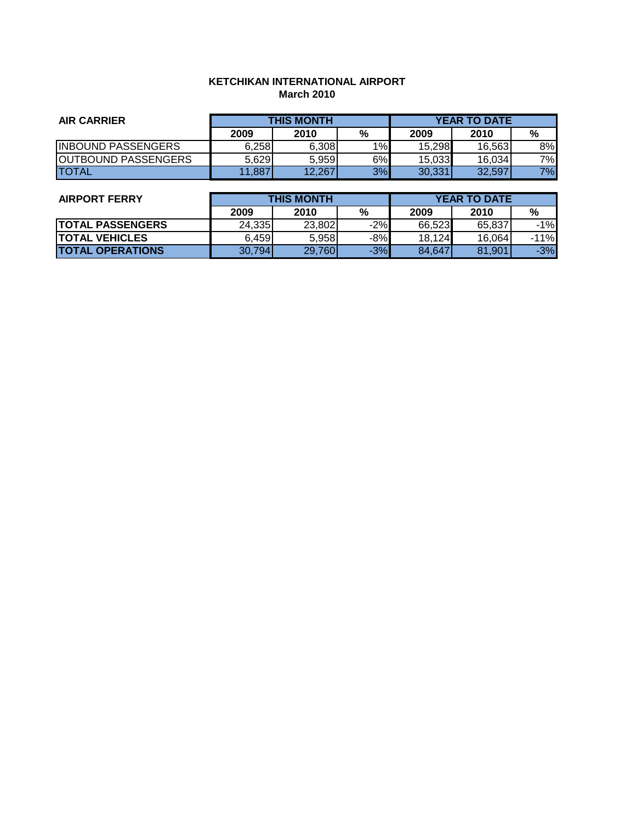# **KETCHIKAN INTERNATIONAL AIRPORT March 2010**

| <b>AIR CARRIER</b>         | <b>THIS MONTH</b> |        |    | <b>YEAR TO DATE</b> |        |     |
|----------------------------|-------------------|--------|----|---------------------|--------|-----|
|                            | 2009              | 2010   | %  | 2009                | 2010   | %   |
| <b>INBOUND PASSENGERS</b>  | 6,258             | 6,308  | 1% | 15,298              | 16.563 | 8%l |
| <b>OUTBOUND PASSENGERS</b> | 5,629             | 5.959  | 6% | 15,033              | 16,034 | 7%  |
| <b>TOTAL</b>               | 11,887            | 12,267 | 3% | 30,331              | 32,597 | 7%  |

| <b>AIRPORT FERRY</b>    | <b>THIS MONTH</b> |        |       | <b>YEAR TO DATE</b> |        |        |
|-------------------------|-------------------|--------|-------|---------------------|--------|--------|
|                         | 2009              | 2010   | %     | 2009                | 2010   | %      |
| <b>TOTAL PASSENGERS</b> | 24,335            | 23,802 | $-2%$ | 66,523              | 65.837 | $-1\%$ |
| <b>TOTAL VEHICLES</b>   | 6,459             | 5,958  | $-8%$ | 18,124              | 16,064 | $-11%$ |
| <b>TOTAL OPERATIONS</b> | 30,794            | 29,760 | $-3%$ | 84.647              | 81,901 | $-3%$  |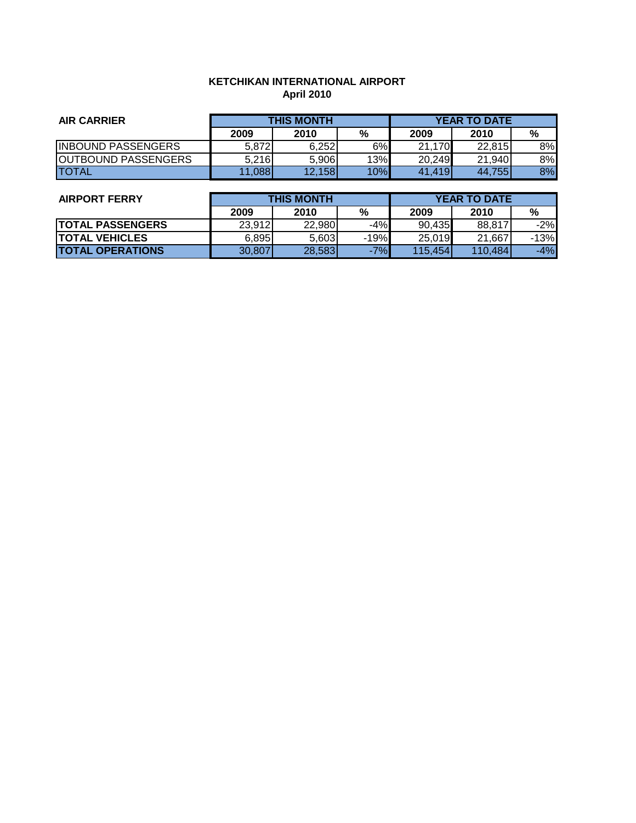# **KETCHIKAN INTERNATIONAL AIRPORT April 2010**

| <b>AIR CARRIER</b>         | <b>THIS MONTH</b> |        |     | <b>YEAR TO DATE</b> |        |    |
|----------------------------|-------------------|--------|-----|---------------------|--------|----|
|                            | 2009              | 2010   | %   | 2009                | 2010   | %  |
| <b>INBOUND PASSENGERS</b>  | 5.872             | 6.252  | 6%  | 21,170              | 22.815 | 8% |
| <b>OUTBOUND PASSENGERS</b> | 5.216             | 5.906  | 13% | 20,249              | 21,940 | 8% |
| <b>TOTAL</b>               | 11,088            | 12.158 | 10% | 41,419              | 44.755 | 8% |

| <b>AIRPORT FERRY</b>    | <b>THIS MONTH</b> |        |        | <b>YEAR TO DATE</b> |         |        |
|-------------------------|-------------------|--------|--------|---------------------|---------|--------|
|                         | 2009              | 2010   | %      | 2009                | 2010    | %      |
| <b>TOTAL PASSENGERS</b> | 23,912            | 22,980 | $-4%$  | 90,435              | 88,817  | $-2%$  |
| <b>TOTAL VEHICLES</b>   | 6,895             | 5.603  | $-19%$ | 25,019              | 21.667  | $-13%$ |
| <b>TOTAL OPERATIONS</b> | 30,807            | 28,583 | $-7%$  | 115,454             | 110,484 | $-4%$  |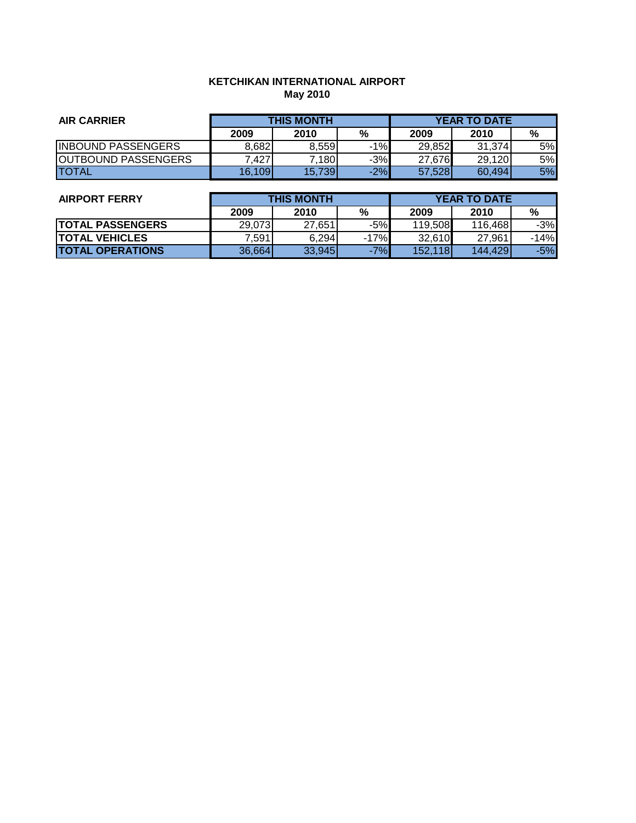# **KETCHIKAN INTERNATIONAL AIRPORT May 2010**

| <b>AIR CARRIER</b>         | <b>THIS MONTH</b> |        |       | <b>YEAR TO DATE</b> |        |           |
|----------------------------|-------------------|--------|-------|---------------------|--------|-----------|
|                            | 2009              | 2010   | %     | 2009                | 2010   | %         |
| <b>INBOUND PASSENGERS</b>  | 8,682             | 8.559  | $-1%$ | 29,852              | 31.374 | 5%l       |
| <b>OUTBOUND PASSENGERS</b> | .427              | 7.1801 | $-3%$ | 27,676              | 29,120 | 5%l       |
| <b>TOTAL</b>               | 16.109            | 15,739 | $-2%$ | 57,528              | 60,494 | <b>5%</b> |

| <b>AIRPORT FERRY</b>    | <b>THIS MONTH</b> |        |        | <b>YEAR TO DATE</b> |         |        |
|-------------------------|-------------------|--------|--------|---------------------|---------|--------|
|                         | 2009              | 2010   | %      | 2009                | 2010    | %      |
| <b>TOTAL PASSENGERS</b> | 29,073            | 27.651 | $-5%$  | 119,508             | 116,468 | $-3%$  |
| <b>TOTAL VEHICLES</b>   | 7,591             | 6,294  | $-17%$ | 32,610              | 27,961  | $-14%$ |
| <b>TOTAL OPERATIONS</b> | 36,664            | 33,945 | $-7%$  | 152,118             | 144.429 | $-5%$  |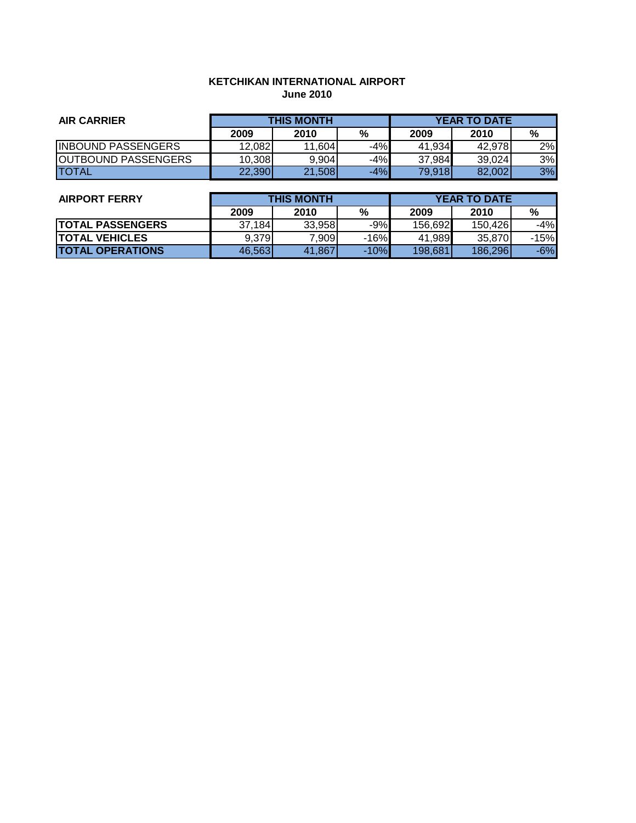# **KETCHIKAN INTERNATIONAL AIRPORT June 2010**

| <b>AIR CARRIER</b>         | <b>THIS MONTH</b> |        |       | <b>YEAR TO DATE</b> |        |    |
|----------------------------|-------------------|--------|-------|---------------------|--------|----|
|                            | 2009              | 2010   | %     | 2009                | 2010   | %  |
| <b>INBOUND PASSENGERS</b>  | 12,082            | 11,604 | $-4%$ | 41,934              | 42.978 | 2% |
| <b>OUTBOUND PASSENGERS</b> | 10,308            | 9.904  | $-4%$ | 37,984              | 39,024 | 3% |
| <b>TOTAL</b>               | 22,390            | 21,508 | $-4%$ | 79,918              | 82,002 | 3% |

| <b>AIRPORT FERRY</b>    | <b>THIS MONTH</b> |        |        | <b>YEAR TO DATE</b> |         |        |
|-------------------------|-------------------|--------|--------|---------------------|---------|--------|
|                         | 2009              | 2010   | %      | 2009                | 2010    | %      |
| <b>TOTAL PASSENGERS</b> | 37,184            | 33,958 | $-9%$  | 156,692             | 150,426 | -4%    |
| <b>ITOTAL VEHICLES</b>  | 9.379             | 7.9091 | $-16%$ | 41,989              | 35,870  | $-15%$ |
| <b>TOTAL OPERATIONS</b> | 46,563            | 41,867 | $-10%$ | 198.681             | 186,296 | $-6%$  |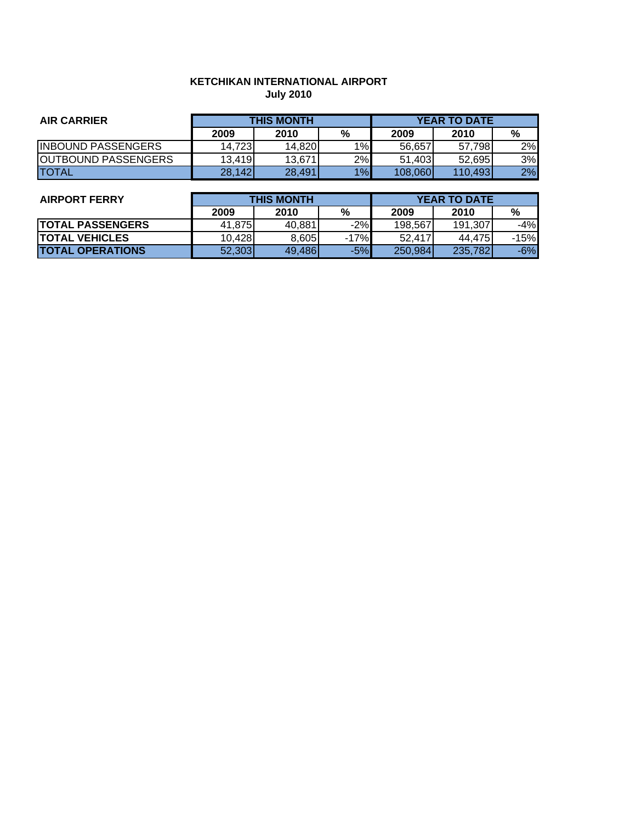# **KETCHIKAN INTERNATIONAL AIRPORT July 2010**

| <b>AIR CARRIER</b>         | <b>THIS MONTH</b> |        |    | <b>YEAR TO DATE</b> |         |    |
|----------------------------|-------------------|--------|----|---------------------|---------|----|
|                            | 2009              | 2010   | %  | 2009                | 2010    | %  |
| <b>INBOUND PASSENGERS</b>  | 14.7231           | 14,820 | 1% | 56.657              | 57.7981 | 2% |
| <b>OUTBOUND PASSENGERS</b> | 13,419            | 13.671 | 2% | 51.403              | 52.695  | 3% |
| <b>TOTAL</b>               | 28,142            | 28,491 | 1% | 108,060             | 110,493 | 2% |

| <b>AIRPORT FERRY</b>    | <b>THIS MONTH</b> |        |        | <b>YEAR TO DATE</b> |         |        |
|-------------------------|-------------------|--------|--------|---------------------|---------|--------|
|                         | 2009              | 2010   | %      | 2009                | 2010    | %      |
| <b>TOTAL PASSENGERS</b> | 41.875            | 40.881 | $-2%$  | 198.567             | 191,307 | $-4%$  |
| <b>TOTAL VEHICLES</b>   | 10,428            | 8,605  | $-17%$ | 52.417              | 44,475  | $-15%$ |
| <b>TOTAL OPERATIONS</b> | 52,303            | 49.486 | $-5%$  | 250.984             | 235,782 | $-6%$  |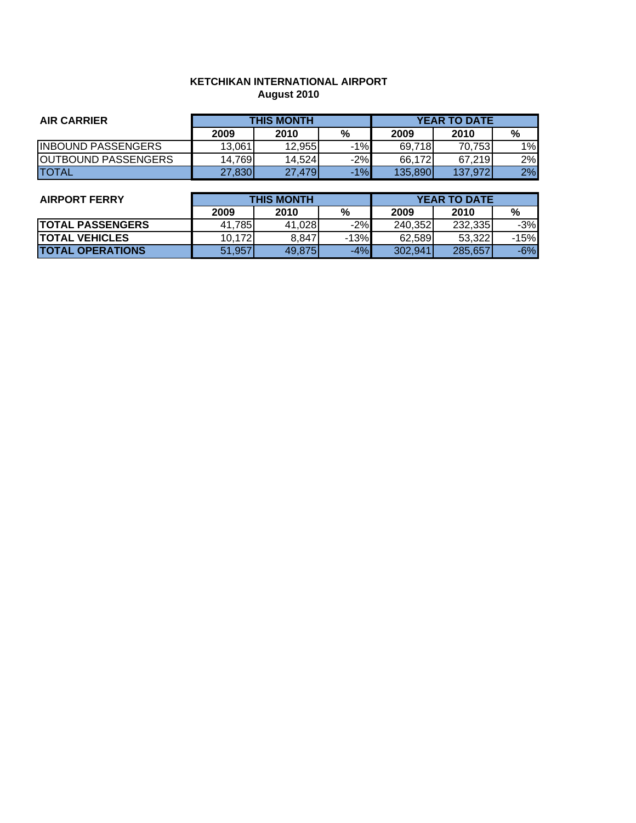# **KETCHIKAN INTERNATIONAL AIRPORT August 2010**

| <b>AIR CARRIER</b>         | <b>THIS MONTH</b> |        |       |         | <b>YEAR TO DATE</b> |    |
|----------------------------|-------------------|--------|-------|---------|---------------------|----|
|                            | 2009              | 2010   | %     | 2009    | 2010                | %  |
| <b>INBOUND PASSENGERS</b>  | 13.061            | 12.955 | $-1%$ | 69.718  | 70.753              | 1% |
| <b>OUTBOUND PASSENGERS</b> | 14.769            | 14.524 | $-2%$ | 66.172  | 67.219              | 2% |
| <b>ITOTAL</b>              | 27,830            | 27.479 | $-1%$ | 135.890 | 137,972             | 2% |

| <b>AIRPORT FERRY</b>    | <b>THIS MONTH</b> |        |        | <b>YEAR TO DATE</b> |         |        |
|-------------------------|-------------------|--------|--------|---------------------|---------|--------|
|                         | 2009              | 2010   | %      | 2009                | 2010    | %      |
| <b>TOTAL PASSENGERS</b> | 41.785            | 41,028 | $-2%$  | 240.352             | 232.335 | $-3%$  |
| <b>TOTAL VEHICLES</b>   | 10.172            | 8,847  | $-13%$ | 62.589              | 53.322  | $-15%$ |
| <b>TOTAL OPERATIONS</b> | 51,957            | 49,875 | $-4%$  | 302.941             | 285,657 | $-6%$  |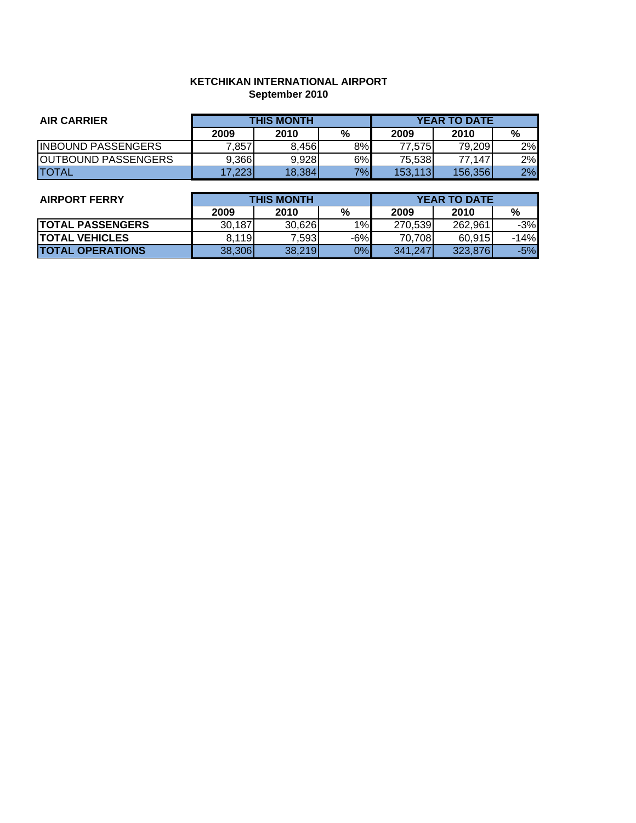# **KETCHIKAN INTERNATIONAL AIRPORT September 2010**

| <b>AIR CARRIER</b>         | <b>THIS MONTH</b> |        |    | <b>YEAR TO DATE</b> |         |    |
|----------------------------|-------------------|--------|----|---------------------|---------|----|
|                            | 2009              | 2010   | %  | 2009                | 2010    | %  |
| <b>IINBOUND PASSENGERS</b> | 7,857             | 8.456  | 8% | 77.575              | 79,209  | 2% |
| <b>OUTBOUND PASSENGERS</b> | 9,366             | 9.928  | 6% | 75.538              | 77,147  | 2% |
| <b>ITOTAL</b>              | 17.2231           | 18,384 | 7% | 153,113             | 156,356 | 2% |

| <b>AIRPORT FERRY</b>    | <b>THIS MONTH</b> |        |       | <b>YEAR TO DATE</b> |         |        |
|-------------------------|-------------------|--------|-------|---------------------|---------|--------|
|                         | 2009              | 2010   | %     | 2009                | 2010    | %      |
| <b>TOTAL PASSENGERS</b> | 30,187            | 30,626 | 1%    | 270.539             | 262.961 | $-3%$  |
| <b>TOTAL VEHICLES</b>   | 8.119             | 7.5931 | $-6%$ | 70.708              | 60.915  | $-14%$ |
| <b>TOTAL OPERATIONS</b> | 38,306            | 38,219 | 0%    | 341,247             | 323.876 | $-5%$  |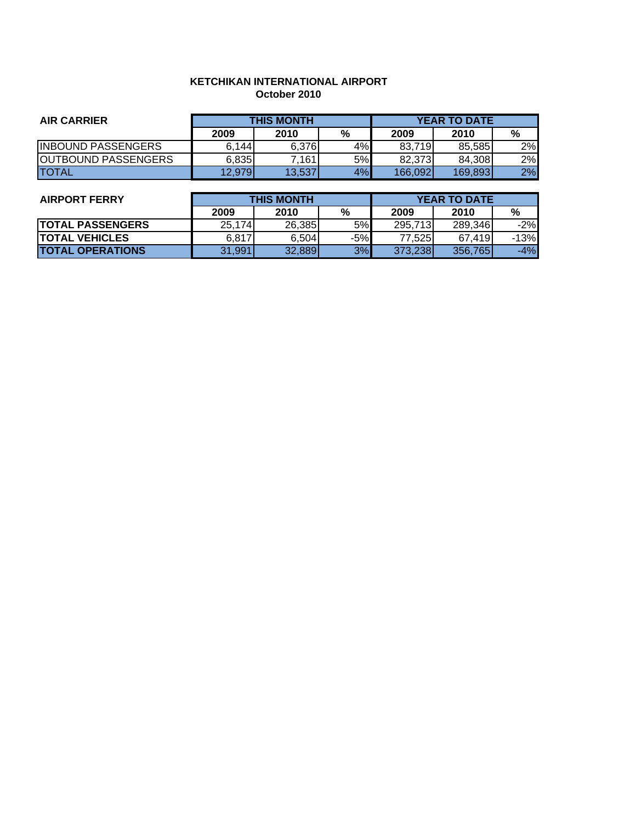#### **KETCHIKAN INTERNATIONAL AIRPORT October 2010**

| <b>AIR CARRIER</b>         | <b>THIS MONTH</b> |        |    | <b>YEAR TO DATE</b> |         |    |
|----------------------------|-------------------|--------|----|---------------------|---------|----|
|                            | 2009              | 2010   | %  | 2009                | 2010    | %  |
| <b>IINBOUND PASSENGERS</b> | 6.144             | 6.376  | 4% | 83,719              | 85.585  | 2% |
| <b>OUTBOUND PASSENGERS</b> | 6,835             | 7.161  | 5% | 82.373              | 84.308  | 2% |
| <b>ITOTAL</b>              | 12,979            | 13.537 | 4% | 166.092             | 169,893 | 2% |

| <b>AIRPORT FERRY</b>    | <b>THIS MONTH</b> |        |       | <b>YEAR TO DATE</b> |         |        |
|-------------------------|-------------------|--------|-------|---------------------|---------|--------|
|                         | 2009              | 2010   | %     | 2009                | 2010    | %      |
| <b>TOTAL PASSENGERS</b> | 25,174            | 26,385 | 5%    | 295,713             | 289.346 | $-2%$  |
| <b>TOTAL VEHICLES</b>   | 6.817             | 6.504  | $-5%$ | 77.5251             | 67.419  | $-13%$ |
| <b>TOTAL OPERATIONS</b> | 31,991            | 32,889 | 3%    | 373,238             | 356,765 | $-4%$  |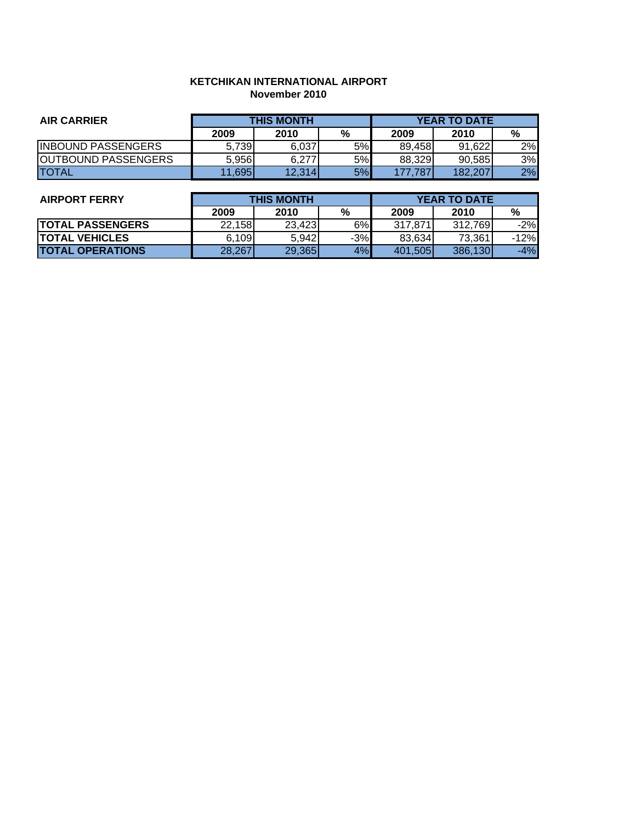### **KETCHIKAN INTERNATIONAL AIRPORT November 2010**

| <b>AIR CARRIER</b>         | <b>THIS MONTH</b> |        |    | <b>YEAR TO DATE</b> |         |    |
|----------------------------|-------------------|--------|----|---------------------|---------|----|
|                            | 2009              | 2010   | %  | 2009                | 2010    | %  |
| <b>IINBOUND PASSENGERS</b> | 5.739             | 6.037  | 5% | 89.458              | 91,622  | 2% |
| <b>OUTBOUND PASSENGERS</b> | 5,956             | 6.277  | 5% | 88.329              | 90.585  | 3% |
| <b>ITOTAL</b>              | 11,695            | 12,314 | 5% | 177.787             | 182.207 | 2% |

| <b>AIRPORT FERRY</b>    | <b>THIS MONTH</b> |        |       | <b>YEAR TO DATE</b> |         |        |
|-------------------------|-------------------|--------|-------|---------------------|---------|--------|
|                         | 2009              | 2010   | %     | 2009                | 2010    | %      |
| <b>TOTAL PASSENGERS</b> | 22.158            | 23,423 | 6%    | 317.871             | 312.769 | $-2%$  |
| <b>TOTAL VEHICLES</b>   | 6,109             | 5,942  | $-3%$ | 83.634              | 73.361  | $-12%$ |
| <b>TOTAL OPERATIONS</b> | 28,267            | 29,365 | 4%    | 401,505             | 386,130 | $-4%$  |